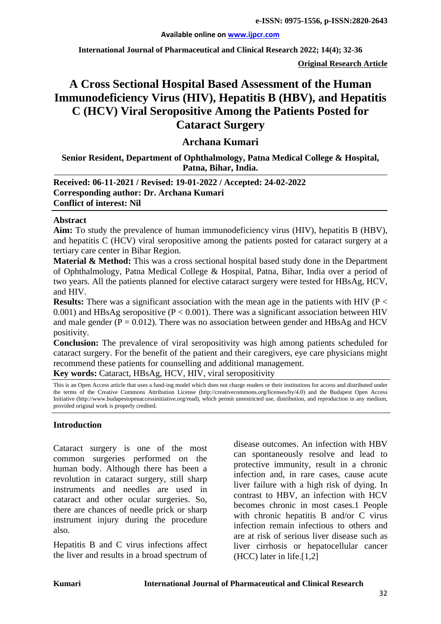#### **Available online on [www.ijpcr.com](http://www.ijpcr.com/)**

**International Journal of Pharmaceutical and Clinical Research 2022; 14(4); 32-36**

**Original Research Article**

# **A Cross Sectional Hospital Based Assessment of the Human Immunodeficiency Virus (HIV), Hepatitis B (HBV), and Hepatitis C (HCV) Viral Seropositive Among the Patients Posted for Cataract Surgery**

# **Archana Kumari**

## **Senior Resident, Department of Ophthalmology, Patna Medical College & Hospital, Patna, Bihar, India.**

## **Received: 06-11-2021 / Revised: 19-01-2022 / Accepted: 24-02-2022 Corresponding author: Dr. Archana Kumari Conflict of interest: Nil**

#### **Abstract**

**Aim:** To study the prevalence of human immunodeficiency virus (HIV), hepatitis B (HBV), and hepatitis C (HCV) viral seropositive among the patients posted for cataract surgery at a tertiary care center in Bihar Region.

**Material & Method:** This was a cross sectional hospital based study done in the Department of Ophthalmology, Patna Medical College & Hospital, Patna, Bihar, India over a period of two years. All the patients planned for elective cataract surgery were tested for HBsAg, HCV, and HIV.

**Results:** There was a significant association with the mean age in the patients with HIV (P < 0.001) and HBsAg seropositive ( $P < 0.001$ ). There was a significant association between HIV and male gender ( $P = 0.012$ ). There was no association between gender and HBsAg and HCV positivity.

**Conclusion:** The prevalence of viral seropositivity was high among patients scheduled for cataract surgery. For the benefit of the patient and their caregivers, eye care physicians might recommend these patients for counselling and additional management.

**Key words:** Cataract, HBsAg, HCV, HIV, viral seropositivity

This is an Open Access article that uses a fund-ing model which does not charge readers or their institutions for access and distributed under the terms of the Creative Commons Attribution License (http://creativecommons.org/licenses/by/4.0) and the Budapest Open Access Initiative (http://www.budapestopenaccessinitiative.org/read), which permit unrestricted use, distribution, and reproduction in any medium, provided original work is properly credited.

#### **Introduction**

Cataract surgery is one of the most common surgeries performed on the human body. Although there has been a revolution in cataract surgery, still sharp instruments and needles are used in cataract and other ocular surgeries. So, there are chances of needle prick or sharp instrument injury during the procedure also.

Hepatitis B and C virus infections affect the liver and results in a broad spectrum of disease outcomes. An infection with HBV can spontaneously resolve and lead to protective immunity, result in a chronic infection and, in rare cases, cause acute liver failure with a high risk of dying. In contrast to HBV, an infection with HCV becomes chronic in most cases.1 People with chronic hepatitis B and/or C virus infection remain infectious to others and are at risk of serious liver disease such as liver cirrhosis or hepatocellular cancer (HCC) later in life.[1,2]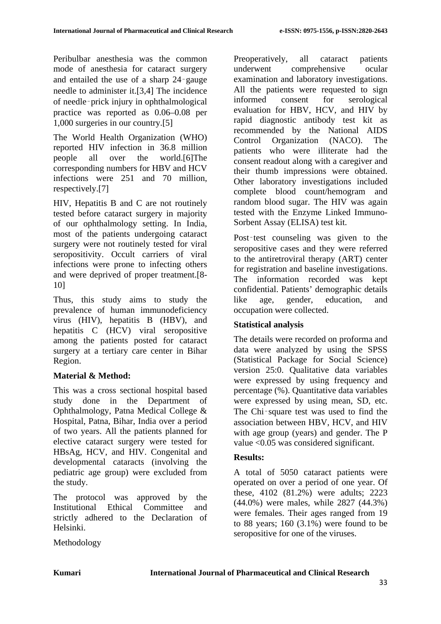Peribulbar anesthesia was the common mode of anesthesia for cataract surgery and entailed the use of a sharp 24‑gauge needle to administer it.[3,4] The incidence of needle‑prick injury in ophthalmological practice was reported as 0.06–0.08 per 1,000 surgeries in our country.[5]

The World Health Organization (WHO) reported HIV infection in 36.8 million people all over the world.[6]The corresponding numbers for HBV and HCV infections were 251 and 70 million, respectively.[7]

HIV, Hepatitis B and C are not routinely tested before cataract surgery in majority of our ophthalmology setting. In India, most of the patients undergoing cataract surgery were not routinely tested for viral seropositivity. Occult carriers of viral infections were prone to infecting others and were deprived of proper treatment.[8- 10]

Thus, this study aims to study the prevalence of human immunodeficiency virus (HIV), hepatitis B (HBV), and hepatitis C (HCV) viral seropositive among the patients posted for cataract surgery at a tertiary care center in Bihar Region.

## **Material & Method:**

This was a cross sectional hospital based study done in the Department of Ophthalmology, Patna Medical College & Hospital, Patna, Bihar, India over a period of two years. All the patients planned for elective cataract surgery were tested for HBsAg, HCV, and HIV. Congenital and developmental cataracts (involving the pediatric age group) were excluded from the study.

The protocol was approved by the Institutional Ethical Committee and strictly adhered to the Declaration of Helsinki.

Preoperatively, all cataract patients underwent comprehensive ocular examination and laboratory investigations. All the patients were requested to sign informed consent for serological evaluation for HBV, HCV, and HIV by rapid diagnostic antibody test kit as recommended by the National AIDS Control Organization (NACO). The patients who were illiterate had the consent readout along with a caregiver and their thumb impressions were obtained. Other laboratory investigations included complete blood count/hemogram and random blood sugar. The HIV was again tested with the Enzyme Linked Immuno-Sorbent Assay (ELISA) test kit.

Post-test counseling was given to the seropositive cases and they were referred to the antiretroviral therapy (ART) center for registration and baseline investigations. The information recorded was kept confidential. Patients' demographic details like age, gender, education, and occupation were collected.

### **Statistical analysis**

The details were recorded on proforma and data were analyzed by using the SPSS (Statistical Package for Social Science) version 25:0. Qualitative data variables were expressed by using frequency and percentage (%). Quantitative data variables were expressed by using mean, SD, etc. The Chi-square test was used to find the association between HBV, HCV, and HIV with age group (years) and gender. The P value <0.05 was considered significant.

## **Results:**

A total of 5050 cataract patients were operated on over a period of one year. Of these, 4102 (81.2%) were adults; 2223 (44.0%) were males, while 2827 (44.3%) were females. Their ages ranged from 19 to 88 years;  $160$   $(3.1\%)$  were found to be seropositive for one of the viruses.

Methodology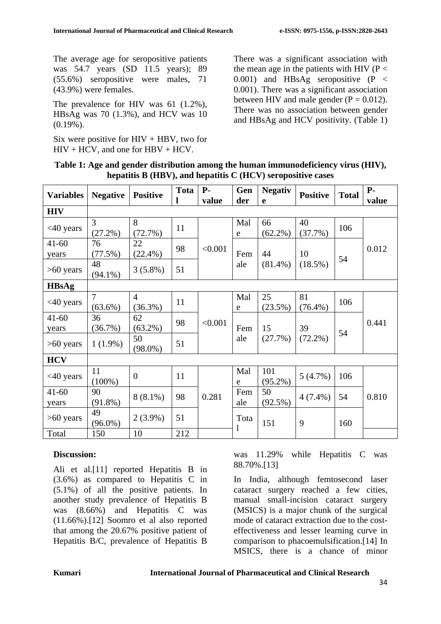The average age for seropositive patients was 54.7 years (SD 11.5 years); 89 (55.6%) seropositive were males, 71 (43.9%) were females.

The prevalence for HIV was 61 (1.2%), HBsAg was 70 (1.3%), and HCV was 10  $(0.19\%)$ .

Six were positive for  $HIV + HBV$ , two for  $HIV + HCV$ , and one for  $HBV + HCV$ .

There was a significant association with the mean age in the patients with HIV ( $P <$ 0.001) and HBsAg seropositive (P < 0.001). There was a significant association between HIV and male gender  $(P = 0.012)$ . There was no association between gender and HBsAg and HCV positivity. (Table 1)

| Table 1: Age and gender distribution among the human immunodeficiency virus (HIV), |
|------------------------------------------------------------------------------------|
| hepatitis $B(HBV)$ , and hepatitis $C(HCV)$ seropositive cases                     |

| <b>Variables</b> | <b>Negative</b> | <b>Positive</b> | <b>Tota</b> | $P-$    | Gen        | <b>Negativ</b>   | <b>Positive</b>  | <b>Total</b> | $P-$  |
|------------------|-----------------|-----------------|-------------|---------|------------|------------------|------------------|--------------|-------|
|                  |                 |                 |             | value   | der        | e                |                  |              | value |
| <b>HIV</b>       |                 |                 |             |         |            |                  |                  |              |       |
| $<40$ years      | $\overline{3}$  | 8               | 11          |         | Mal        | 66               | 40               | 106          |       |
|                  | $(27.2\%)$      | (72.7%)         |             |         | e          | $(62.2\%)$       | (37.7%)          |              |       |
| $41 - 60$        | 76              | 22              | 98          | < 0.001 |            |                  |                  |              | 0.012 |
| years            | (77.5%)         | $(22.4\%)$      |             |         | Fem<br>ale | 44<br>$(81.4\%)$ | 10               | 54           |       |
| $>60$ years      | 48              | $3(5.8\%)$      | 51          |         |            |                  | $(18.5\%)$       |              |       |
|                  | $(94.1\%)$      |                 |             |         |            |                  |                  |              |       |
| <b>HBsAg</b>     |                 |                 |             |         |            |                  |                  |              |       |
| $<40$ years      | $\overline{7}$  | $\overline{4}$  | 11          |         | Mal        | 25               | 81<br>$(76.4\%)$ | 106          | 0.441 |
|                  | $(63.6\%)$      | $(36.3\%)$      |             |         | e          | $(23.5\%)$       |                  |              |       |
| $41 - 60$        | 36              | 62              | 98          | < 0.001 |            | 15               | 39               | 54           |       |
| years            | (36.7%)         | $(63.2\%)$      |             |         | Fem        |                  |                  |              |       |
| $>60$ years      | $1(1.9\%)$      | 50              | 51          |         | ale        | (27.7%)          | $(72.2\%)$       |              |       |
|                  |                 | $(98.0\%)$      |             |         |            |                  |                  |              |       |
| <b>HCV</b>       |                 |                 |             |         |            |                  |                  |              |       |
| $<40$ years      | 11              | $\overline{0}$  | 11          |         | Mal        | 101              | 5(4.7%)          | 106          |       |
|                  | $(100\%)$       |                 |             |         | e          | $(95.2\%)$       |                  |              |       |
| $41 - 60$        | 90              | $8(8.1\%)$      | 98          | 0.281   | Fem        | 50               | $4(7.4\%)$       | 54           | 0.810 |
| years            | $(91.8\%)$      |                 |             |         | ale        | $(92.5\%)$       |                  |              |       |
| $>60$ years      | 49              | $2(3.9\%)$      | 51          |         | Tota       |                  | 9                | 160          |       |
|                  | $(96.0\%)$      |                 |             |         | 1          | 151              |                  |              |       |
| Total            | 150             | 10              | 212         |         |            |                  |                  |              |       |

### **Discussion:**

Ali et al.[11] reported Hepatitis B in (3.6%) as compared to Hepatitis C in (5.1%) of all the positive patients. In another study prevalence of Hepatitis B was (8.66%) and Hepatitis C was (11.66%).[12] Soomro et al also reported that among the 20.67% positive patient of Hepatitis B/C, prevalence of Hepatitis B

was 11.29% while Hepatitis C was 88.70%.[13]

In India, although femtosecond laser cataract surgery reached a few cities, manual small-incision cataract surgery (MSICS) is a major chunk of the surgical mode of cataract extraction due to the costeffectiveness and lesser learning curve in comparison to phacoemulsification.[14] In MSICS, there is a chance of minor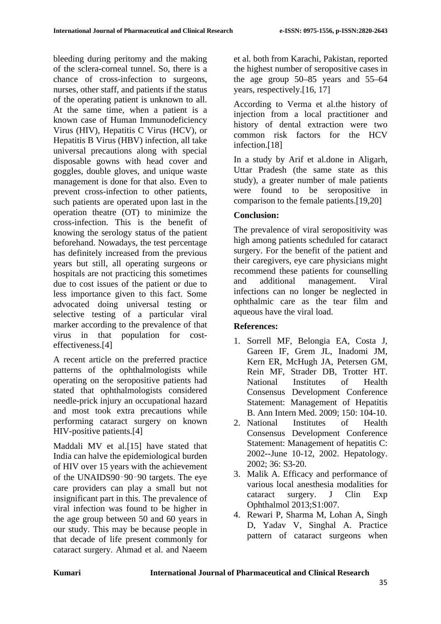bleeding during peritomy and the making of the sclera-corneal tunnel. So, there is a chance of cross-infection to surgeons, nurses, other staff, and patients if the status of the operating patient is unknown to all. At the same time, when a patient is a known case of Human Immunodeficiency Virus (HIV), Hepatitis C Virus (HCV), or Hepatitis B Virus (HBV) infection, all take universal precautions along with special disposable gowns with head cover and goggles, double gloves, and unique waste management is done for that also. Even to prevent cross-infection to other patients, such patients are operated upon last in the operation theatre (OT) to minimize the cross-infection. This is the benefit of knowing the serology status of the patient beforehand. Nowadays, the test percentage has definitely increased from the previous years but still, all operating surgeons or hospitals are not practicing this sometimes due to cost issues of the patient or due to less importance given to this fact. Some advocated doing universal testing or selective testing of a particular viral marker according to the prevalence of that virus in that population for costeffectiveness.[4]

A recent article on the preferred practice patterns of the ophthalmologists while operating on the seropositive patients had stated that ophthalmologists considered needle-prick injury an occupational hazard and most took extra precautions while performing cataract surgery on known HIV-positive patients.[4]

Maddali MV et al.[15] have stated that India can halve the epidemiological burden of HIV over 15 years with the achievement of the UNAIDS90‑90‑90 targets. The eye care providers can play a small but not insignificant part in this. The prevalence of viral infection was found to be higher in the age group between 50 and 60 years in our study. This may be because people in that decade of life present commonly for cataract surgery. Ahmad et al. and Naeem et al. both from Karachi, Pakistan, reported the highest number of seropositive cases in the age group 50–85 years and 55–64 years, respectively.[16, 17]

According to Verma et al.the history of injection from a local practitioner and history of dental extraction were two common risk factors for the HCV infection.[18]

In a study by Arif et al.done in Aligarh, Uttar Pradesh (the same state as this study), a greater number of male patients were found to be seropositive in comparison to the female patients.[19,20]

# **Conclusion:**

The prevalence of viral seropositivity was high among patients scheduled for cataract surgery. For the benefit of the patient and their caregivers, eye care physicians might recommend these patients for counselling and additional management. Viral infections can no longer be neglected in ophthalmic care as the tear film and aqueous have the viral load.

# **References:**

- 1. Sorrell MF, Belongia EA, Costa J, Gareen IF, Grem JL, Inadomi JM, Kern ER, McHugh JA, Petersen GM, Rein MF, Strader DB, Trotter HT. National Institutes of Health Consensus Development Conference Statement: Management of Hepatitis B. Ann Intern Med. 2009; 150: 104-10.
- 2. National Institutes of Health Consensus Development Conference Statement: Management of hepatitis C: 2002--June 10-12, 2002. Hepatology. 2002; 36: S3-20.
- 3. Malik A. Efficacy and performance of various local anesthesia modalities for cataract surgery. J Clin Exp Ophthalmol 2013;S1:007.
- 4. Rewari P, Sharma M, Lohan A, Singh D, Yadav V, Singhal A. Practice pattern of cataract surgeons when